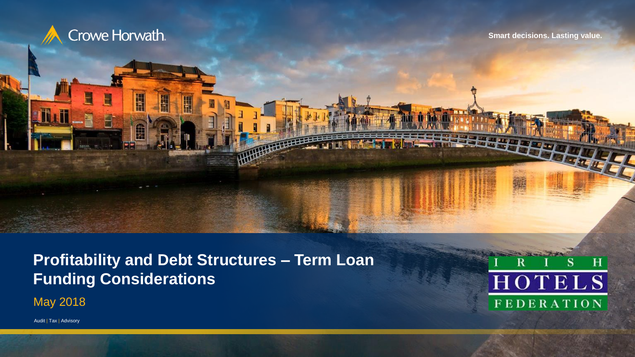

Ħ

Ĥ

**Smart decisions. Lasting value.**

**Profitability and Debt Structures – Term Loan Funding Considerations**

May 2018



Audit | Tax | Advisory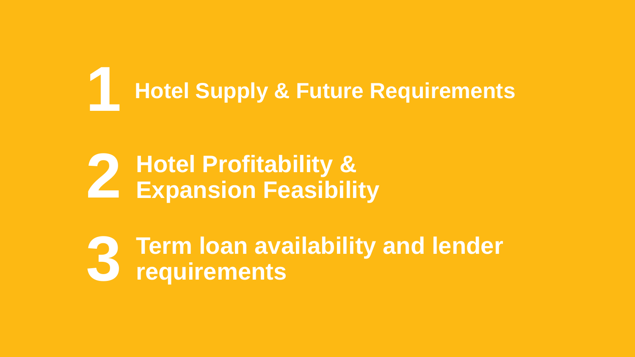# **Hotel Supply & Future Requirements 1**

### **Hotel Profitability & Expansion Feasibility 2**

**Term loan availability and lender requirements 3**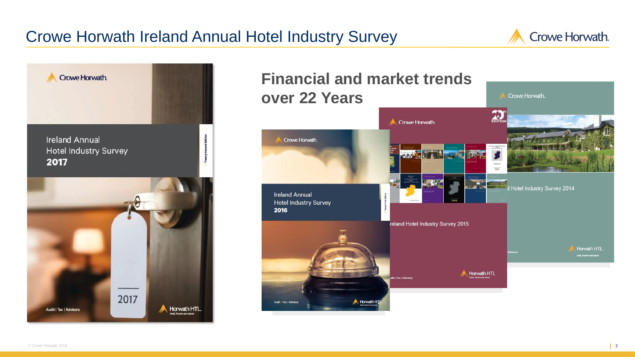#### Crowe Horwath Ireland Annual Hotel Industry Survey



Crowe Horwath.



#### **Financial and market trends over 22 Years**

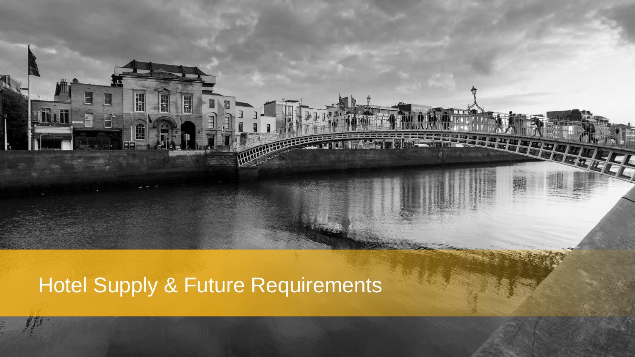## Hotel Supply & Future Requirements

A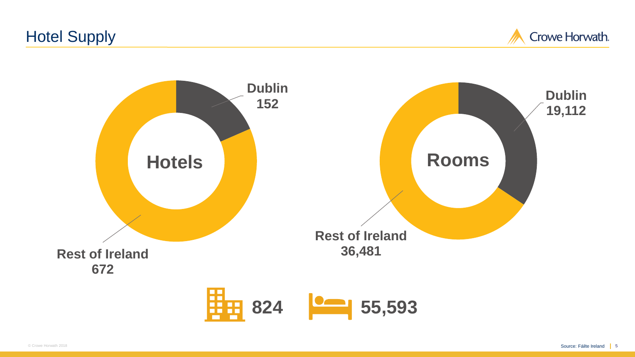#### Hotel Supply

Crowe Horwath.

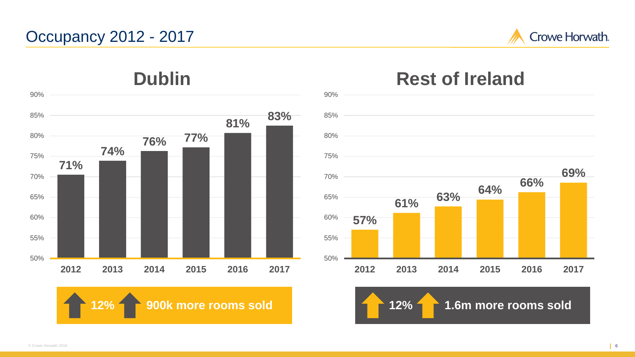#### Occupancy 2012 - 2017



**69%**



**12% 900k more rooms sold 12% 1.6m more rooms sold**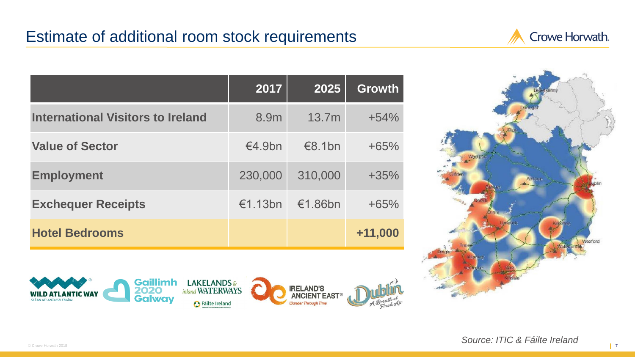#### Estimate of additional room stock requirements



|                                          | 2017    | 2025    | <b>Growth</b> |
|------------------------------------------|---------|---------|---------------|
| <b>International Visitors to Ireland</b> | 8.9m    | 13.7m   | $+54%$        |
| <b>Value of Sector</b>                   | €4.9bn  | €8.1bn  | $+65%$        |
| <b>Employment</b>                        | 230,000 | 310,000 | $+35%$        |
| <b>Exchequer Receipts</b>                | €1.13bn | €1.86bn | $+65%$        |
| <b>Hotel Bedrooms</b>                    |         |         | $+11,000$     |



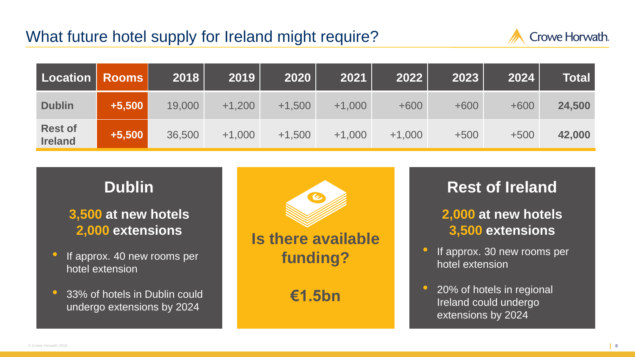#### What future hotel supply for Ireland might require?



| Location                         | <b>Rooms</b> | 2018   | 2019     | 2020     | 2021     | $\overline{20}22$ $\overline{)}$ | 2023   | 2024   | Totall |
|----------------------------------|--------------|--------|----------|----------|----------|----------------------------------|--------|--------|--------|
| <b>Dublin</b>                    | $+5,500$     | 19,000 | $+1,200$ | $+1,500$ | $+1,000$ | $+600$                           | $+600$ | $+600$ | 24,500 |
| <b>Rest of</b><br><b>Ireland</b> | $+5,500$     | 36,500 | $+1,000$ | $+1,500$ | $+1,000$ | $+1,000$                         | $+500$ | $+500$ | 42,000 |

#### **Dublin**

**3,500 at new hotels 2,000 extensions**

- If approx. 40 new rooms per hotel extension
- 33% of hotels in Dublin could undergo extensions by 2024



# **Rest of Ireland**

#### **2,000 at new hotels 3,500 extensions**

- If approx. 30 new rooms per hotel extension
- 20% of hotels in regional Ireland could undergo extensions by 2024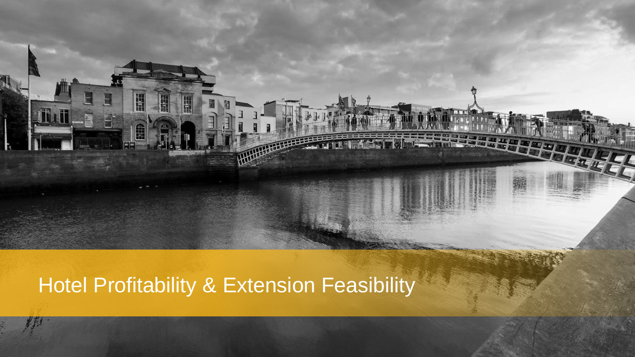### Hotel Profitability & Extension Feasibility

Â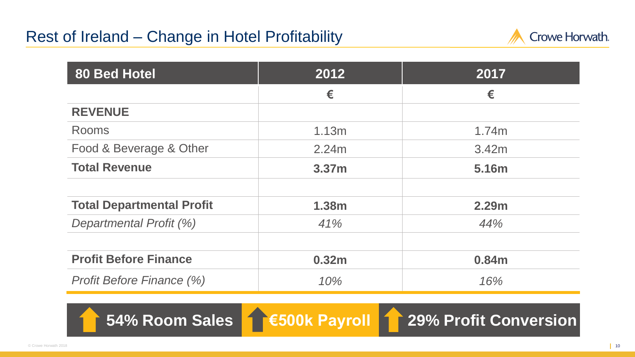

| <b>80 Bed Hotel</b>              | 2012              | 2017  |
|----------------------------------|-------------------|-------|
|                                  | €                 | €     |
| <b>REVENUE</b>                   |                   |       |
| <b>Rooms</b>                     | 1.13m             | 1.74m |
| Food & Beverage & Other          | 2.24m             | 3.42m |
| <b>Total Revenue</b>             | 3.37 <sub>m</sub> | 5.16m |
|                                  |                   |       |
| <b>Total Departmental Profit</b> | 1.38m             | 2.29m |
| Departmental Profit (%)          | 41%               | 44%   |
|                                  |                   |       |
| <b>Profit Before Finance</b>     | 0.32m             | 0.84m |
| <b>Profit Before Finance (%)</b> | 10%               | 16%   |

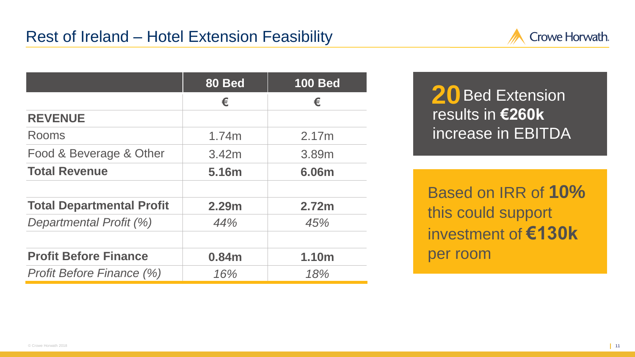

20 Bed Extension results in **€260k** increase in EBITDA

Based on IRR of **10%**  this could support investment of **€130k**  per room

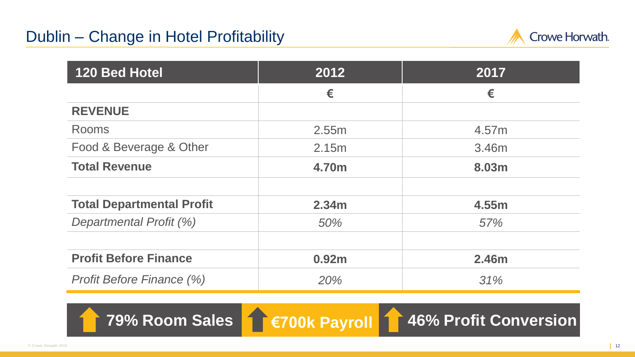#### Dublin – Change in Hotel Profitability



| <b>120 Bed Hotel</b>             | 2012  | 2017  |
|----------------------------------|-------|-------|
|                                  | €     | €     |
| <b>REVENUE</b>                   |       |       |
| <b>Rooms</b>                     | 2.55m | 4.57m |
| Food & Beverage & Other          | 2.15m | 3.46m |
| <b>Total Revenue</b>             | 4.70m | 8.03m |
| <b>Total Departmental Profit</b> | 2.34m | 4.55m |
| Departmental Profit (%)          | 50%   | 57%   |
| <b>Profit Before Finance</b>     | 0.92m | 2.46m |
| <b>Profit Before Finance (%)</b> | 20%   | 31%   |

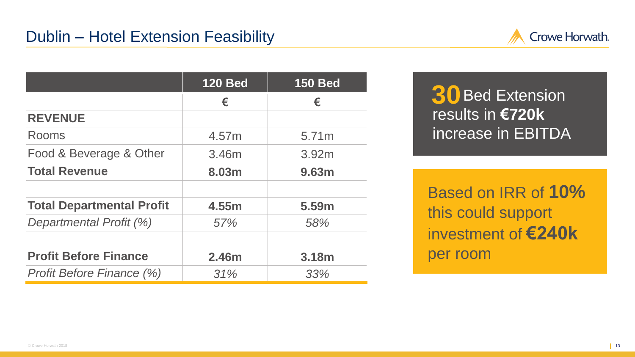

|                                  | <b>120 Bed</b> | <b>150 Bed</b> |
|----------------------------------|----------------|----------------|
|                                  | €              | €              |
| <b>REVENUE</b>                   |                |                |
| Rooms                            | 4.57m          | 5.71m          |
| Food & Beverage & Other          | 3.46m          | 3.92m          |
| <b>Total Revenue</b>             | 8.03m          | 9.63m          |
|                                  |                |                |
| <b>Total Departmental Profit</b> | 4.55m          | 5.59m          |
| Departmental Profit (%)          | 57%            | 58%            |
|                                  |                |                |
| <b>Profit Before Finance</b>     | 2.46m          | 3.18m          |
| Profit Before Finance (%)        | 31%            | 33%            |

Bed Extension **30**results in **€720k** increase in EBITDA

Based on IRR of **10%**  this could support investment of **€240k**  per room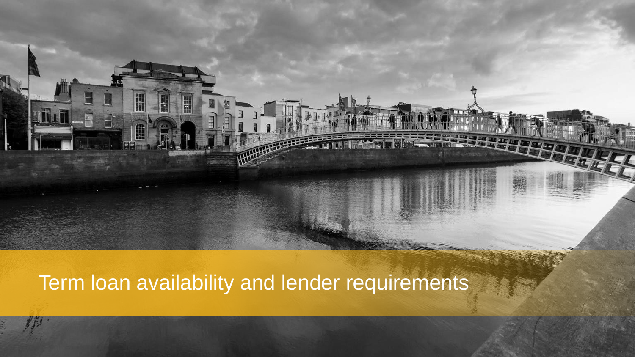Term loan availability and lender requirements

Â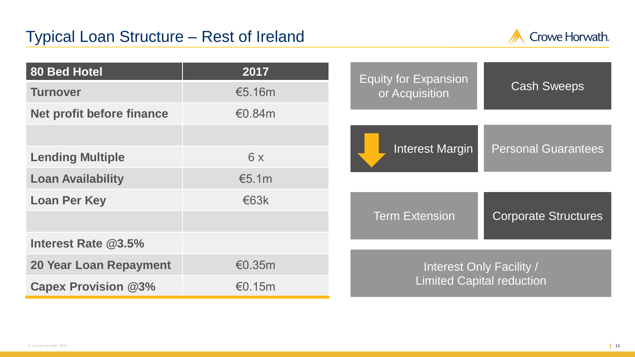

| 80 Bed Hotel                  | 2017      | <b>Equity for Expansion</b>                                  | <b>Cash Sweeps</b>         |  |
|-------------------------------|-----------|--------------------------------------------------------------|----------------------------|--|
| <b>Turnover</b>               | €5.16m    | or Acquisition                                               |                            |  |
| Net profit before finance     | €0.84 $m$ |                                                              |                            |  |
|                               |           |                                                              |                            |  |
| <b>Lending Multiple</b>       | 6x        | <b>Interest Margin</b>                                       | <b>Personal Guarantees</b> |  |
| <b>Loan Availability</b>      | €5.1m     |                                                              |                            |  |
| <b>Loan Per Key</b>           | €63k      |                                                              |                            |  |
|                               |           | <b>Term Extension</b>                                        | Corporate Structures       |  |
| Interest Rate @3.5%           |           |                                                              |                            |  |
| <b>20 Year Loan Repayment</b> | €0.35 $m$ | Interest Only Facility /<br><b>Limited Capital reduction</b> |                            |  |
| <b>Capex Provision @3%</b>    | €0.15m    |                                                              |                            |  |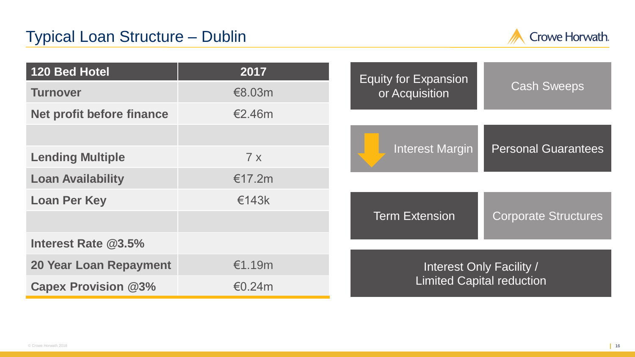

| 120 Bed Hotel                 | 2017   | <b>Equity for Expansion</b>      | <b>Cash Sweeps</b>         |  |
|-------------------------------|--------|----------------------------------|----------------------------|--|
| <b>Turnover</b>               | €8.03m | or Acquisition                   |                            |  |
| Net profit before finance     | €2.46m |                                  |                            |  |
|                               |        |                                  |                            |  |
| <b>Lending Multiple</b>       | 7x     | <b>Interest Margin</b>           | <b>Personal Guarantees</b> |  |
| <b>Loan Availability</b>      | €17.2m |                                  |                            |  |
| <b>Loan Per Key</b>           | €143k  |                                  |                            |  |
|                               |        | <b>Term Extension</b>            | Corporate Structures       |  |
| Interest Rate @3.5%           |        |                                  |                            |  |
| <b>20 Year Loan Repayment</b> | €1.19m | Interest Only Facility /         |                            |  |
| <b>Capex Provision @3%</b>    | €0.24m | <b>Limited Capital reduction</b> |                            |  |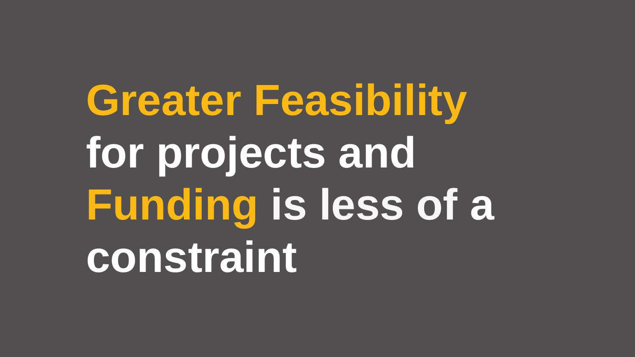**Greater Feasibility for projects and Funding is less of a constraint**